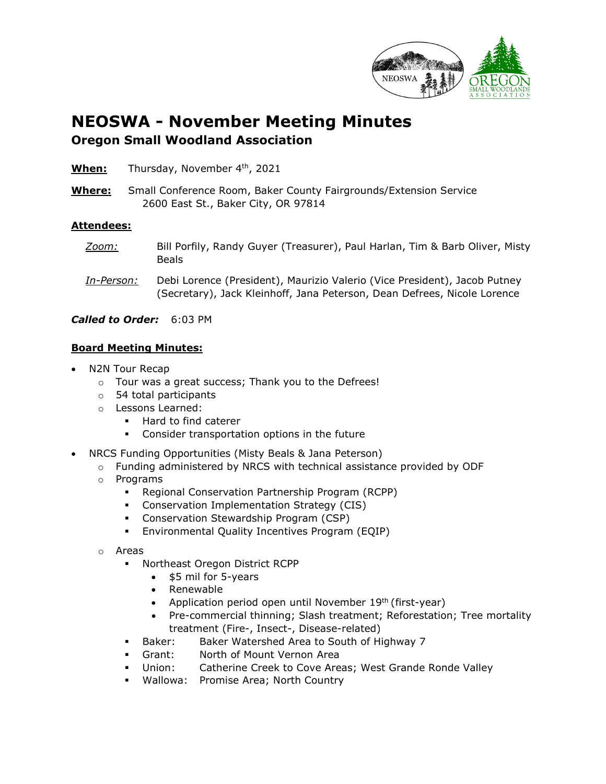

## **NEOSWA - November Meeting Minutes Oregon Small Woodland Association**

| When: | Thursday, November 4th, 2021 |  |
|-------|------------------------------|--|
|       |                              |  |

**Where:** Small Conference Room, Baker County Fairgrounds/Extension Service 2600 East St., Baker City, OR 97814

## **Attendees:**

- *Zoom:* Bill Porfily, Randy Guyer (Treasurer), Paul Harlan, Tim & Barb Oliver, Misty Beals
- *In-Person:* Debi Lorence (President), Maurizio Valerio (Vice President), Jacob Putney (Secretary), Jack Kleinhoff, Jana Peterson, Dean Defrees, Nicole Lorence

*Called to Order:* 6:03 PM

## **Board Meeting Minutes:**

- N2N Tour Recap
	- o Tour was a great success; Thank you to the Defrees!
	- o 54 total participants
	- o Lessons Learned:
		- **Hard to find caterer**
		- Consider transportation options in the future
- NRCS Funding Opportunities (Misty Beals & Jana Peterson)
	- $\circ$  Funding administered by NRCS with technical assistance provided by ODF
	- o Programs
		- Regional Conservation Partnership Program (RCPP)
		- Conservation Implementation Strategy (CIS)
		- Conservation Stewardship Program (CSP)
		- Environmental Quality Incentives Program (EQIP)
	- o Areas
		- Northeast Oregon District RCPP
			- \$5 mil for 5-years
			- Renewable
			- Application period open until November  $19<sup>th</sup>$  (first-year)
			- Pre-commercial thinning; Slash treatment; Reforestation; Tree mortality treatment (Fire-, Insect-, Disease-related)
		- **Baker:** Baker Watershed Area to South of Highway 7
		- Grant: North of Mount Vernon Area
		- Union: Catherine Creek to Cove Areas; West Grande Ronde Valley
		- Wallowa: Promise Area; North Country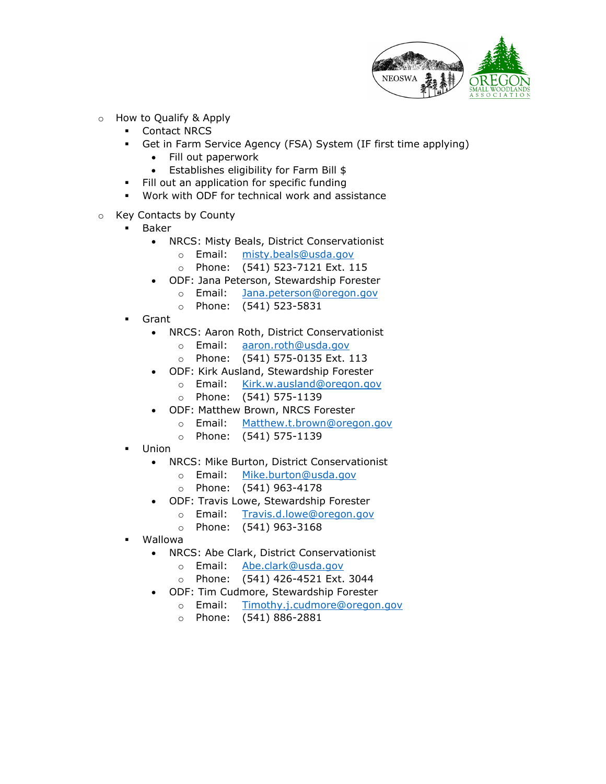

- o How to Qualify & Apply
	- Contact NRCS
	- Get in Farm Service Agency (FSA) System (IF first time applying)
		- Fill out paperwork
		- Establishes eligibility for Farm Bill \$
	- Fill out an application for specific funding
	- Work with ODF for technical work and assistance
- $\circ$  Key Contacts by County
	- Baker
		- NRCS: Misty Beals, District Conservationist
			- o Email: [misty.beals@usda.gov](mailto:misty.beals@usda.gov)
			- o Phone: (541) 523-7121 Ext. 115
		- ODF: Jana Peterson, Stewardship Forester
			- o Email: [Jana.peterson@oregon.gov](mailto:Jana.peterson@oregon.gov)
			- o Phone: (541) 523-5831
	- Grant
		- NRCS: Aaron Roth, District Conservationist
			- o Email: [aaron.roth@usda.gov](mailto:aaron.roth@usda.gov)
			- o Phone: (541) 575-0135 Ext. 113
		- ODF: Kirk Ausland, Stewardship Forester
			- o Email: [Kirk.w.ausland@oregon.gov](mailto:Kirk.w.ausland@oregon.gov)
			- o Phone: (541) 575-1139
		- ODF: Matthew Brown, NRCS Forester
			- o Email: [Matthew.t.brown@oregon.gov](mailto:Matthew.t.brown@oregon.gov)
			- o Phone: (541) 575-1139
	- Union
		- NRCS: Mike Burton, District Conservationist
			- o Email: [Mike.burton@usda.gov](mailto:Mike.burton@usda.gov)
			- o Phone: (541) 963-4178
		- ODF: Travis Lowe, Stewardship Forester
			- o Email: [Travis.d.lowe@oregon.gov](mailto:Travis.d.lowe@oregon.gov)
			- o Phone: (541) 963-3168
	- Wallowa
		- NRCS: Abe Clark, District Conservationist
			- o Email: [Abe.clark@usda.gov](mailto:Abe.clark@usda.gov)
			- o Phone: (541) 426-4521 Ext. 3044
		- ODF: Tim Cudmore, Stewardship Forester
			- o Email: [Timothy.j.cudmore@oregon.gov](mailto:Timothy.j.cudmore@oregon.gov)
			- o Phone: (541) 886-2881